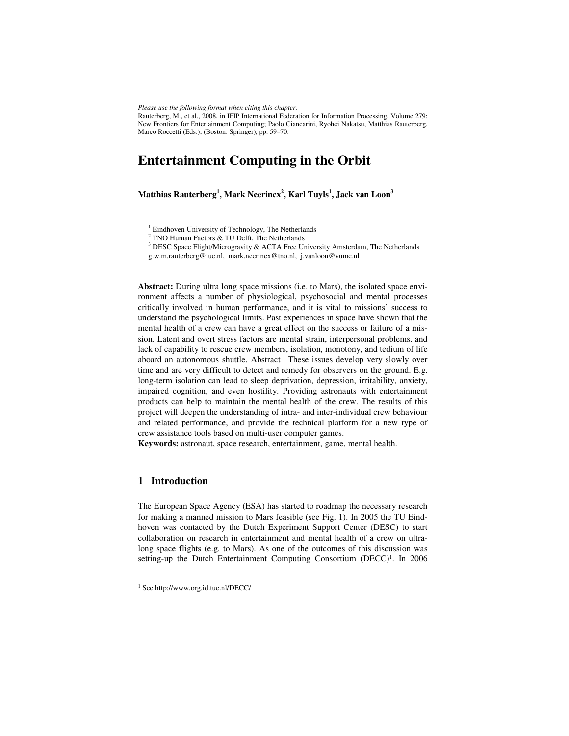*Please use the following format when citing this chapter:*  Rauterberg, M., et al., 2008, in IFIP International Federation for Information Processing, Volume 279; New Frontiers for Entertainment Computing; Paolo Ciancarini, Ryohei Nakatsu, Matthias Rauterberg, Marco Roccetti (Eds.); (Boston: Springer), pp. 59–70.

# **Entertainment Computing in the Orbit**

**Matthias Rauterberg<sup>1</sup> , Mark Neerincx<sup>2</sup> , Karl Tuyls<sup>1</sup> , Jack van Loon<sup>3</sup>**

<sup>1</sup> Eindhoven University of Technology, The Netherlands

2 TNO Human Factors & TU Delft, The Netherlands

 $3$  DESC Space Flight/Microgravity & ACTA Free University Amsterdam, The Netherlands

g.w.m.rauterberg@tue.nl, mark.neerincx@tno.nl, j.vanloon@vumc.nl

**Abstract:** During ultra long space missions (i.e. to Mars), the isolated space environment affects a number of physiological, psychosocial and mental processes critically involved in human performance, and it is vital to missions' success to understand the psychological limits. Past experiences in space have shown that the mental health of a crew can have a great effect on the success or failure of a mission. Latent and overt stress factors are mental strain, interpersonal problems, and lack of capability to rescue crew members, isolation, monotony, and tedium of life aboard an autonomous shuttle. Abstract These issues develop very slowly over time and are very difficult to detect and remedy for observers on the ground. E.g. long-term isolation can lead to sleep deprivation, depression, irritability, anxiety, impaired cognition, and even hostility. Providing astronauts with entertainment products can help to maintain the mental health of the crew. The results of this project will deepen the understanding of intra- and inter-individual crew behaviour and related performance, and provide the technical platform for a new type of crew assistance tools based on multi-user computer games.

**Keywords:** astronaut, space research, entertainment, game, mental health.

#### **1 Introduction**

 $\overline{a}$ 

The European Space Agency (ESA) has started to roadmap the necessary research for making a manned mission to Mars feasible (see Fig. 1). In 2005 the TU Eindhoven was contacted by the Dutch Experiment Support Center (DESC) to start collaboration on research in entertainment and mental health of a crew on ultralong space flights (e.g. to Mars). As one of the outcomes of this discussion was setting-up the Dutch Entertainment Computing Consortium (DECC)<sup>1</sup>. In 2006

<sup>1</sup> See http://www.org.id.tue.nl/DECC/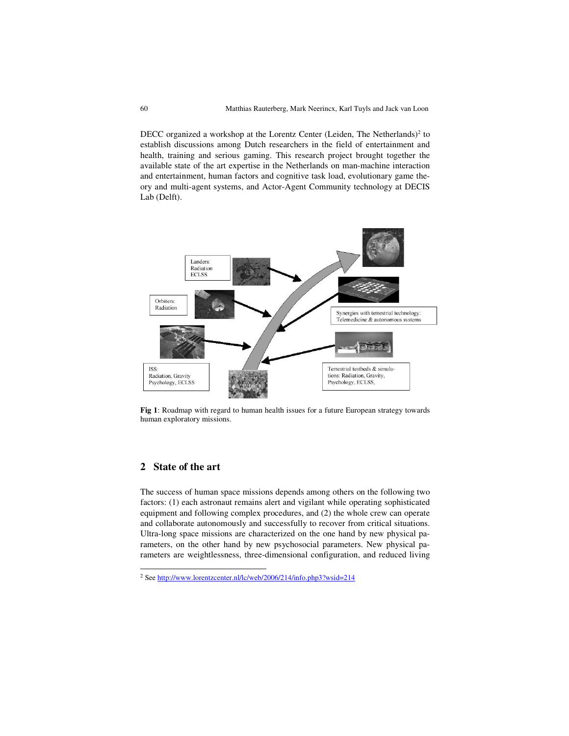DECC organized a workshop at the Lorentz Center (Leiden, The Netherlands)<sup>2</sup> to establish discussions among Dutch researchers in the field of entertainment and health, training and serious gaming. This research project brought together the available state of the art expertise in the Netherlands on man-machine interaction and entertainment, human factors and cognitive task load, evolutionary game theory and multi-agent systems, and Actor-Agent Community technology at DECIS Lab (Delft).



**Fig 1**: Roadmap with regard to human health issues for a future European strategy towards human exploratory missions.

## **2 State of the art**

The success of human space missions depends among others on the following two factors: (1) each astronaut remains alert and vigilant while operating sophisticated equipment and following complex procedures, and (2) the whole crew can operate and collaborate autonomously and successfully to recover from critical situations. Ultra-long space missions are characterized on the one hand by new physical parameters, on the other hand by new psychosocial parameters. New physical parameters are weightlessness, three-dimensional configuration, and reduced living

 2 See http://www.lorentzcenter.nl/lc/web/2006/214/info.php3?wsid=214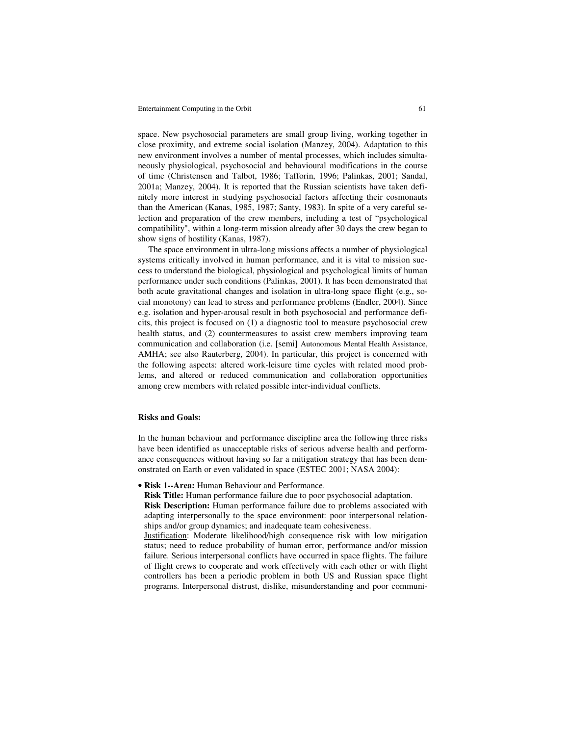space. New psychosocial parameters are small group living, working together in close proximity, and extreme social isolation (Manzey, 2004). Adaptation to this new environment involves a number of mental processes, which includes simultaneously physiological, psychosocial and behavioural modifications in the course of time (Christensen and Talbot, 1986; Tafforin, 1996; Palinkas, 2001; Sandal, 2001a; Manzey, 2004). It is reported that the Russian scientists have taken definitely more interest in studying psychosocial factors affecting their cosmonauts than the American (Kanas, 1985, 1987; Santy, 1983). In spite of a very careful selection and preparation of the crew members, including a test of "psychological compatibility", within a long-term mission already after 30 days the crew began to show signs of hostility (Kanas, 1987).

The space environment in ultra-long missions affects a number of physiological systems critically involved in human performance, and it is vital to mission success to understand the biological, physiological and psychological limits of human performance under such conditions (Palinkas, 2001). It has been demonstrated that both acute gravitational changes and isolation in ultra-long space flight (e.g., social monotony) can lead to stress and performance problems (Endler, 2004). Since e.g. isolation and hyper-arousal result in both psychosocial and performance deficits, this project is focused on (1) a diagnostic tool to measure psychosocial crew health status, and (2) countermeasures to assist crew members improving team communication and collaboration (i.e. [semi] Autonomous Mental Health Assistance, AMHA; see also Rauterberg, 2004). In particular, this project is concerned with the following aspects: altered work-leisure time cycles with related mood problems, and altered or reduced communication and collaboration opportunities among crew members with related possible inter-individual conflicts.

#### **Risks and Goals:**

In the human behaviour and performance discipline area the following three risks have been identified as unacceptable risks of serious adverse health and performance consequences without having so far a mitigation strategy that has been demonstrated on Earth or even validated in space (ESTEC 2001; NASA 2004):

• **Risk 1--Area:** Human Behaviour and Performance.

**Risk Title:** Human performance failure due to poor psychosocial adaptation.

**Risk Description:** Human performance failure due to problems associated with adapting interpersonally to the space environment: poor interpersonal relationships and/or group dynamics; and inadequate team cohesiveness.

Justification: Moderate likelihood/high consequence risk with low mitigation status; need to reduce probability of human error, performance and/or mission failure. Serious interpersonal conflicts have occurred in space flights. The failure of flight crews to cooperate and work effectively with each other or with flight controllers has been a periodic problem in both US and Russian space flight programs. Interpersonal distrust, dislike, misunderstanding and poor communi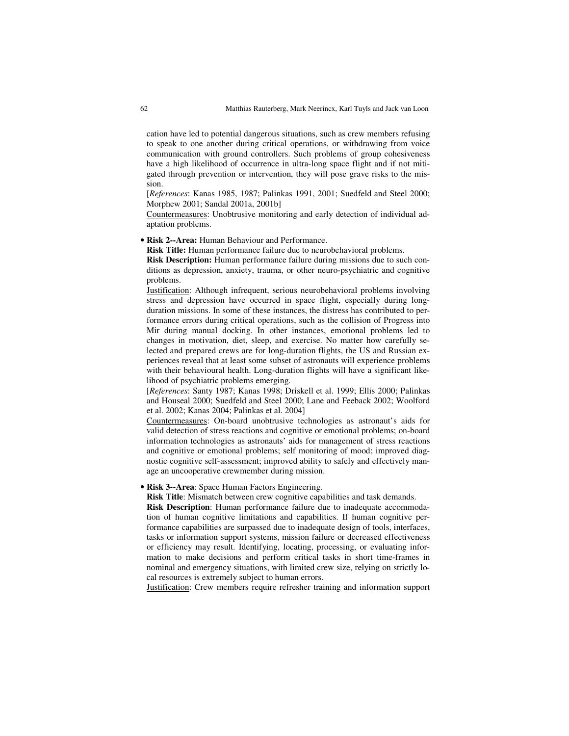cation have led to potential dangerous situations, such as crew members refusing to speak to one another during critical operations, or withdrawing from voice communication with ground controllers. Such problems of group cohesiveness have a high likelihood of occurrence in ultra-long space flight and if not mitigated through prevention or intervention, they will pose grave risks to the mission.

[*References*: Kanas 1985, 1987; Palinkas 1991, 2001; Suedfeld and Steel 2000; Morphew 2001; Sandal 2001a, 2001b]

Countermeasures: Unobtrusive monitoring and early detection of individual adaptation problems.

• **Risk 2--Area:** Human Behaviour and Performance.

**Risk Title:** Human performance failure due to neurobehavioral problems.

**Risk Description:** Human performance failure during missions due to such conditions as depression, anxiety, trauma, or other neuro-psychiatric and cognitive problems.

Justification: Although infrequent, serious neurobehavioral problems involving stress and depression have occurred in space flight, especially during longduration missions. In some of these instances, the distress has contributed to performance errors during critical operations, such as the collision of Progress into Mir during manual docking. In other instances, emotional problems led to changes in motivation, diet, sleep, and exercise. No matter how carefully selected and prepared crews are for long-duration flights, the US and Russian experiences reveal that at least some subset of astronauts will experience problems with their behavioural health. Long-duration flights will have a significant likelihood of psychiatric problems emerging.

[*References*: Santy 1987; Kanas 1998; Driskell et al. 1999; Ellis 2000; Palinkas and Houseal 2000; Suedfeld and Steel 2000; Lane and Feeback 2002; Woolford et al. 2002; Kanas 2004; Palinkas et al. 2004]

Countermeasures: On-board unobtrusive technologies as astronaut's aids for valid detection of stress reactions and cognitive or emotional problems; on-board information technologies as astronauts' aids for management of stress reactions and cognitive or emotional problems; self monitoring of mood; improved diagnostic cognitive self-assessment; improved ability to safely and effectively manage an uncooperative crewmember during mission.

• **Risk 3--Area**: Space Human Factors Engineering.

**Risk Title**: Mismatch between crew cognitive capabilities and task demands.

**Risk Description**: Human performance failure due to inadequate accommodation of human cognitive limitations and capabilities. If human cognitive performance capabilities are surpassed due to inadequate design of tools, interfaces, tasks or information support systems, mission failure or decreased effectiveness or efficiency may result. Identifying, locating, processing, or evaluating information to make decisions and perform critical tasks in short time-frames in nominal and emergency situations, with limited crew size, relying on strictly local resources is extremely subject to human errors.

Justification: Crew members require refresher training and information support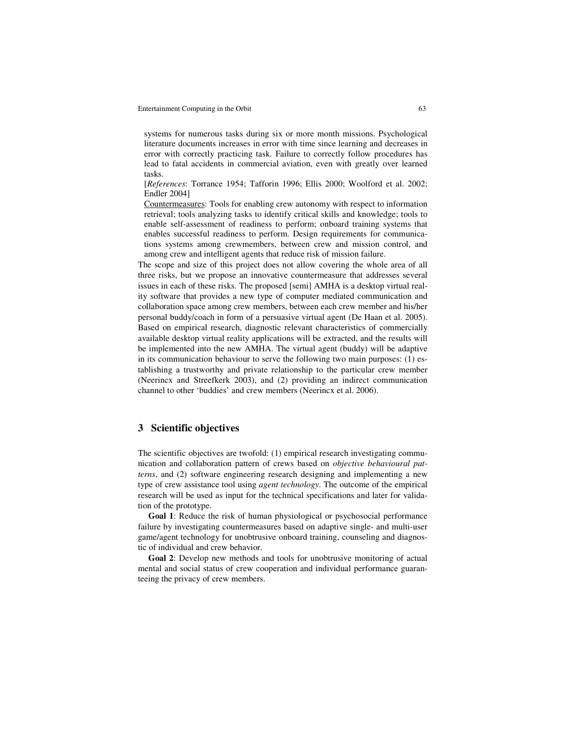systems for numerous tasks during six or more month missions. Psychological literature documents increases in error with time since learning and decreases in error with correctly practicing task. Failure to correctly follow procedures has lead to fatal accidents in commercial aviation, even with greatly over learned tasks.

[*References*: Torrance 1954; Tafforin 1996; Ellis 2000; Woolford et al. 2002; Endler 2004]

Countermeasures: Tools for enabling crew autonomy with respect to information retrieval; tools analyzing tasks to identify critical skills and knowledge; tools to enable self-assessment of readiness to perform; onboard training systems that enables successful readiness to perform. Design requirements for communications systems among crewmembers, between crew and mission control, and among crew and intelligent agents that reduce risk of mission failure.

The scope and size of this project does not allow covering the whole area of all three risks, but we propose an innovative countermeasure that addresses several issues in each of these risks. The proposed [semi] AMHA is a desktop virtual reality software that provides a new type of computer mediated communication and collaboration space among crew members, between each crew member and his/her personal buddy/coach in form of a persuasive virtual agent (De Haan et al. 2005). Based on empirical research, diagnostic relevant characteristics of commercially available desktop virtual reality applications will be extracted, and the results will be implemented into the new AMHA. The virtual agent (buddy) will be adaptive in its communication behaviour to serve the following two main purposes: (1) establishing a trustworthy and private relationship to the particular crew member (Neerincx and Streefkerk 2003), and (2) providing an indirect communication channel to other 'buddies' and crew members (Neerincx et al. 2006).

#### **3 Scientific objectives**

The scientific objectives are twofold: (1) empirical research investigating communication and collaboration pattern of crews based on *objective behavioural patterns*, and (2) software engineering research designing and implementing a new type of crew assistance tool using *agent technology*. The outcome of the empirical research will be used as input for the technical specifications and later for validation of the prototype.

**Goal 1**: Reduce the risk of human physiological or psychosocial performance failure by investigating countermeasures based on adaptive single- and multi-user game/agent technology for unobtrusive onboard training, counseling and diagnostic of individual and crew behavior.

**Goal 2**: Develop new methods and tools for unobtrusive monitoring of actual mental and social status of crew cooperation and individual performance guaranteeing the privacy of crew members.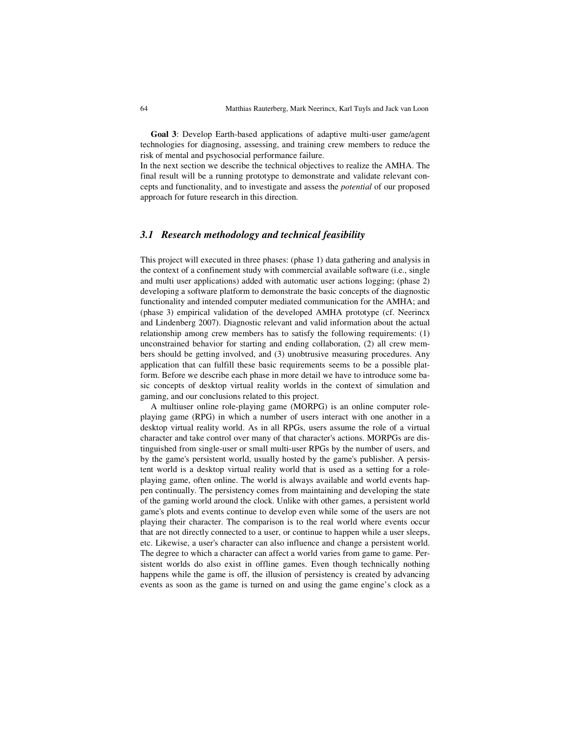**Goal 3**: Develop Earth-based applications of adaptive multi-user game/agent technologies for diagnosing, assessing, and training crew members to reduce the risk of mental and psychosocial performance failure.

In the next section we describe the technical objectives to realize the AMHA. The final result will be a running prototype to demonstrate and validate relevant concepts and functionality, and to investigate and assess the *potential* of our proposed approach for future research in this direction.

#### *3.1 Research methodology and technical feasibility*

This project will executed in three phases: (phase 1) data gathering and analysis in the context of a confinement study with commercial available software (i.e., single and multi user applications) added with automatic user actions logging; (phase 2) developing a software platform to demonstrate the basic concepts of the diagnostic functionality and intended computer mediated communication for the AMHA; and (phase 3) empirical validation of the developed AMHA prototype (cf. Neerincx and Lindenberg 2007). Diagnostic relevant and valid information about the actual relationship among crew members has to satisfy the following requirements: (1) unconstrained behavior for starting and ending collaboration, (2) all crew members should be getting involved, and (3) unobtrusive measuring procedures. Any application that can fulfill these basic requirements seems to be a possible platform. Before we describe each phase in more detail we have to introduce some basic concepts of desktop virtual reality worlds in the context of simulation and gaming, and our conclusions related to this project.

A multiuser online role-playing game (MORPG) is an online computer roleplaying game (RPG) in which a number of users interact with one another in a desktop virtual reality world. As in all RPGs, users assume the role of a virtual character and take control over many of that character's actions. MORPGs are distinguished from single-user or small multi-user RPGs by the number of users, and by the game's persistent world, usually hosted by the game's publisher. A persistent world is a desktop virtual reality world that is used as a setting for a roleplaying game, often online. The world is always available and world events happen continually. The persistency comes from maintaining and developing the state of the gaming world around the clock. Unlike with other games, a persistent world game's plots and events continue to develop even while some of the users are not playing their character. The comparison is to the real world where events occur that are not directly connected to a user, or continue to happen while a user sleeps, etc. Likewise, a user's character can also influence and change a persistent world. The degree to which a character can affect a world varies from game to game. Persistent worlds do also exist in offline games. Even though technically nothing happens while the game is off, the illusion of persistency is created by advancing events as soon as the game is turned on and using the game engine's clock as a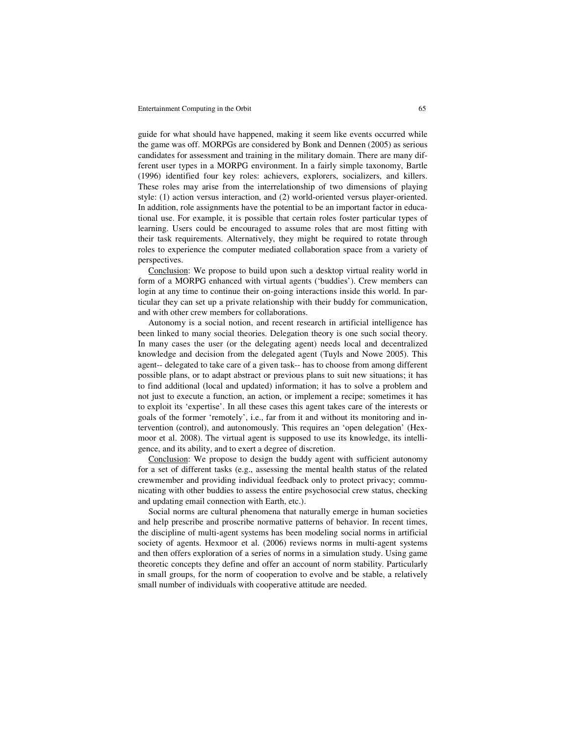guide for what should have happened, making it seem like events occurred while the game was off. MORPGs are considered by Bonk and Dennen (2005) as serious candidates for assessment and training in the military domain. There are many different user types in a MORPG environment. In a fairly simple taxonomy, Bartle (1996) identified four key roles: achievers, explorers, socializers, and killers. These roles may arise from the interrelationship of two dimensions of playing style: (1) action versus interaction, and (2) world-oriented versus player-oriented. In addition, role assignments have the potential to be an important factor in educational use. For example, it is possible that certain roles foster particular types of learning. Users could be encouraged to assume roles that are most fitting with their task requirements. Alternatively, they might be required to rotate through roles to experience the computer mediated collaboration space from a variety of perspectives.

Conclusion: We propose to build upon such a desktop virtual reality world in form of a MORPG enhanced with virtual agents ('buddies'). Crew members can login at any time to continue their on-going interactions inside this world. In particular they can set up a private relationship with their buddy for communication, and with other crew members for collaborations.

Autonomy is a social notion, and recent research in artificial intelligence has been linked to many social theories. Delegation theory is one such social theory. In many cases the user (or the delegating agent) needs local and decentralized knowledge and decision from the delegated agent (Tuyls and Nowe 2005). This agent-- delegated to take care of a given task-- has to choose from among different possible plans, or to adapt abstract or previous plans to suit new situations; it has to find additional (local and updated) information; it has to solve a problem and not just to execute a function, an action, or implement a recipe; sometimes it has to exploit its 'expertise'. In all these cases this agent takes care of the interests or goals of the former 'remotely', i.e., far from it and without its monitoring and intervention (control), and autonomously. This requires an 'open delegation' (Hexmoor et al. 2008). The virtual agent is supposed to use its knowledge, its intelligence, and its ability, and to exert a degree of discretion.

Conclusion: We propose to design the buddy agent with sufficient autonomy for a set of different tasks (e.g., assessing the mental health status of the related crewmember and providing individual feedback only to protect privacy; communicating with other buddies to assess the entire psychosocial crew status, checking and updating email connection with Earth, etc.).

Social norms are cultural phenomena that naturally emerge in human societies and help prescribe and proscribe normative patterns of behavior. In recent times, the discipline of multi-agent systems has been modeling social norms in artificial society of agents. Hexmoor et al. (2006) reviews norms in multi-agent systems and then offers exploration of a series of norms in a simulation study. Using game theoretic concepts they define and offer an account of norm stability. Particularly in small groups, for the norm of cooperation to evolve and be stable, a relatively small number of individuals with cooperative attitude are needed.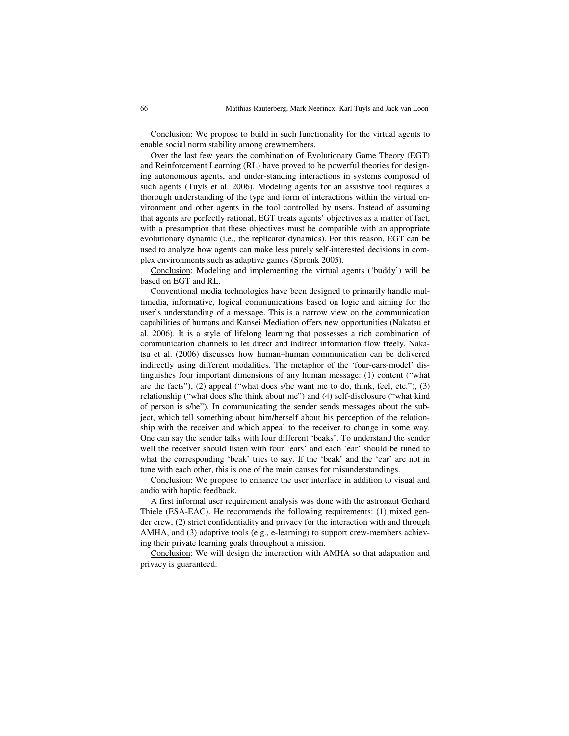Conclusion: We propose to build in such functionality for the virtual agents to enable social norm stability among crewmembers.

Over the last few years the combination of Evolutionary Game Theory (EGT) and Reinforcement Learning (RL) have proved to be powerful theories for designing autonomous agents, and under-standing interactions in systems composed of such agents (Tuyls et al. 2006). Modeling agents for an assistive tool requires a thorough understanding of the type and form of interactions within the virtual environment and other agents in the tool controlled by users. Instead of assuming that agents are perfectly rational, EGT treats agents' objectives as a matter of fact, with a presumption that these objectives must be compatible with an appropriate evolutionary dynamic (i.e., the replicator dynamics). For this reason, EGT can be used to analyze how agents can make less purely self-interested decisions in complex environments such as adaptive games (Spronk 2005).

Conclusion: Modeling and implementing the virtual agents ('buddy') will be based on EGT and RL.

Conventional media technologies have been designed to primarily handle multimedia, informative, logical communications based on logic and aiming for the user's understanding of a message. This is a narrow view on the communication capabilities of humans and Kansei Mediation offers new opportunities (Nakatsu et al. 2006). It is a style of lifelong learning that possesses a rich combination of communication channels to let direct and indirect information flow freely. Nakatsu et al. (2006) discusses how human–human communication can be delivered indirectly using different modalities. The metaphor of the 'four-ears-model' distinguishes four important dimensions of any human message: (1) content ("what are the facts"), (2) appeal ("what does s/he want me to do, think, feel, etc."), (3) relationship ("what does s/he think about me") and (4) self-disclosure ("what kind of person is s/he"). In communicating the sender sends messages about the subject, which tell something about him/herself about his perception of the relationship with the receiver and which appeal to the receiver to change in some way. One can say the sender talks with four different 'beaks'. To understand the sender well the receiver should listen with four 'ears' and each 'ear' should be tuned to what the corresponding 'beak' tries to say. If the 'beak' and the 'ear' are not in tune with each other, this is one of the main causes for misunderstandings.

Conclusion: We propose to enhance the user interface in addition to visual and audio with haptic feedback.

A first informal user requirement analysis was done with the astronaut Gerhard Thiele (ESA-EAC). He recommends the following requirements: (1) mixed gender crew, (2) strict confidentiality and privacy for the interaction with and through AMHA, and (3) adaptive tools (e.g., e-learning) to support crew-members achieving their private learning goals throughout a mission.

Conclusion: We will design the interaction with AMHA so that adaptation and privacy is guaranteed.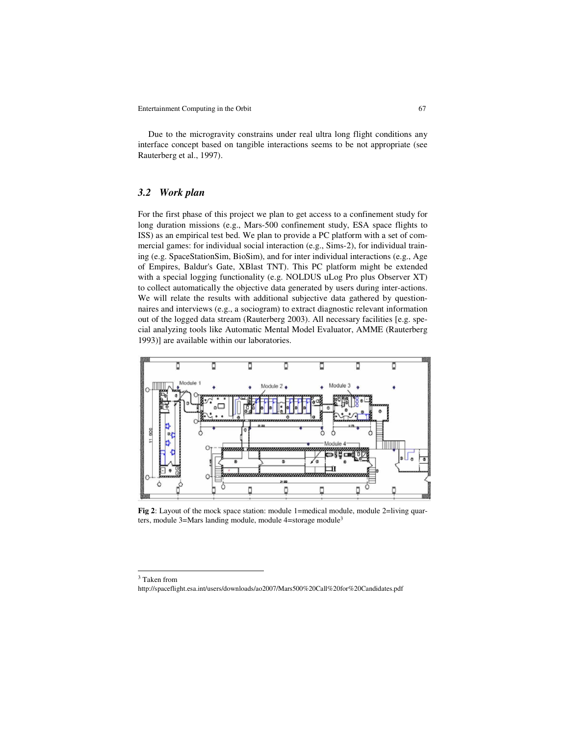Due to the microgravity constrains under real ultra long flight conditions any interface concept based on tangible interactions seems to be not appropriate (see Rauterberg et al., 1997).

### *3.2 Work plan*

For the first phase of this project we plan to get access to a confinement study for long duration missions (e.g., Mars-500 confinement study, ESA space flights to ISS) as an empirical test bed. We plan to provide a PC platform with a set of commercial games: for individual social interaction (e.g., Sims-2), for individual training (e.g. SpaceStationSim, BioSim), and for inter individual interactions (e.g., Age of Empires, Baldur's Gate, XBlast TNT). This PC platform might be extended with a special logging functionality (e.g. NOLDUS uLog Pro plus Observer XT) to collect automatically the objective data generated by users during inter-actions. We will relate the results with additional subjective data gathered by questionnaires and interviews (e.g., a sociogram) to extract diagnostic relevant information out of the logged data stream (Rauterberg 2003). All necessary facilities [e.g. special analyzing tools like Automatic Mental Model Evaluator, AMME (Rauterberg 1993)] are available within our laboratories.



Fig 2: Layout of the mock space station: module 1=medical module, module 2=living quarters, module 3=Mars landing module, module 4=storage module<sup>3</sup>

 $\overline{a}$ 

<sup>3</sup> Taken from

http://spaceflight.esa.int/users/downloads/ao2007/Mars500%20Call%20for%20Candidates.pdf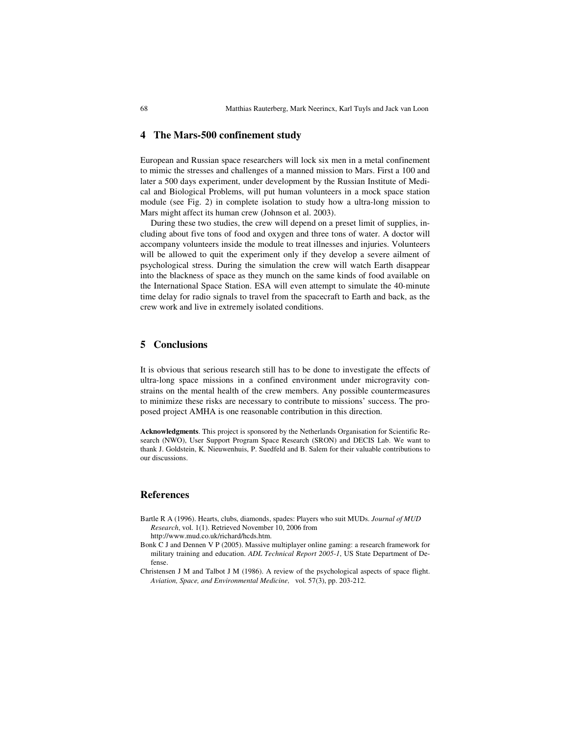#### **4 The Mars-500 confinement study**

European and Russian space researchers will lock six men in a metal confinement to mimic the stresses and challenges of a manned mission to Mars. First a 100 and later a 500 days experiment, under development by the Russian Institute of Medical and Biological Problems, will put human volunteers in a mock space station module (see Fig. 2) in complete isolation to study how a ultra-long mission to Mars might affect its human crew (Johnson et al. 2003).

During these two studies, the crew will depend on a preset limit of supplies, including about five tons of food and oxygen and three tons of water. A doctor will accompany volunteers inside the module to treat illnesses and injuries. Volunteers will be allowed to quit the experiment only if they develop a severe ailment of psychological stress. During the simulation the crew will watch Earth disappear into the blackness of space as they munch on the same kinds of food available on the International Space Station. ESA will even attempt to simulate the 40-minute time delay for radio signals to travel from the spacecraft to Earth and back, as the crew work and live in extremely isolated conditions.

#### **5 Conclusions**

It is obvious that serious research still has to be done to investigate the effects of ultra-long space missions in a confined environment under microgravity constrains on the mental health of the crew members. Any possible countermeasures to minimize these risks are necessary to contribute to missions' success. The proposed project AMHA is one reasonable contribution in this direction.

**Acknowledgments**. This project is sponsored by the Netherlands Organisation for Scientific Research (NWO), User Support Program Space Research (SRON) and DECIS Lab. We want to thank J. Goldstein, K. Nieuwenhuis, P. Suedfeld and B. Salem for their valuable contributions to our discussions.

#### **References**

- Bartle R A (1996). Hearts, clubs, diamonds, spades: Players who suit MUDs. *Journal of MUD Research*, vol. 1(1). Retrieved November 10, 2006 from http://www.mud.co.uk/richard/hcds.htm.
- Bonk C J and Dennen V P (2005). Massive multiplayer online gaming: a research framework for military training and education. *ADL Technical Report 2005-1*, US State Department of Defense.
- Christensen J M and Talbot J M (1986). A review of the psychological aspects of space flight. Aviation, Space, and Environmental Medicine, vol. 57(3), pp. 203-212.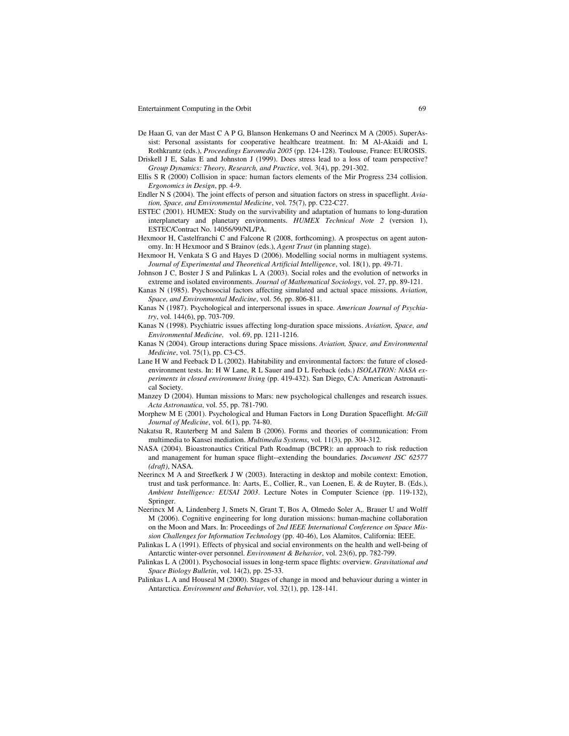- De Haan G, van der Mast C A P G, Blanson Henkemans O and Neerincx M A (2005). SuperAssist: Personal assistants for cooperative healthcare treatment. In: M Al-Akaidi and L Rothkrantz (eds.), *Proceedings Euromedia 2005* (pp. 124-128). Toulouse, France: EUROSIS.
- Driskell J E, Salas E and Johnston J (1999). Does stress lead to a loss of team perspective? *Group Dynamics: Theory, Research, and Practice*, vol. 3(4), pp. 291-302.
- Ellis S R (2000) Collision in space: human factors elements of the Mir Progress 234 collision. *Ergonomics in Design*, pp. 4-9.
- Endler N S (2004). The joint effects of person and situation factors on stress in spaceflight. *Aviation, Space, and Environmental Medicine*, vol. 75(7), pp. C22-C27.
- ESTEC (2001). HUMEX: Study on the survivability and adaptation of humans to long-duration interplanetary and planetary environments. *HUMEX Technical Note 2* (version 1), ESTEC/Contract No. 14056/99/NL/PA.
- Hexmoor H, Castelfranchi C and Falcone R (2008, forthcoming). A prospectus on agent autonomy. In: H Hexmoor and S Brainov (eds.), *Agent Trust* (in planning stage).
- Hexmoor H, Venkata S G and Hayes D (2006). Modelling social norms in multiagent systems. *Journal of Experimental and Theoretical Artificial Intelligence*, vol. 18(1), pp. 49-71.
- Johnson J C, Boster J S and Palinkas L A (2003). Social roles and the evolution of networks in extreme and isolated environments. *Journal of Mathematical Sociology*, vol. 27, pp. 89-121.
- Kanas N (1985). Psychosocial factors affecting simulated and actual space missions. *Aviation, Space, and Environmental Medicine*, vol. 56, pp. 806-811.
- Kanas N (1987). Psychological and interpersonal issues in space. *American Journal of Psychiatry*, vol. 144(6), pp. 703-709.
- Kanas N (1998). Psychiatric issues affecting long-duration space missions. *Aviation, Space, and Environmental Medicine, vol. 69, pp. 1211-1216.*
- Kanas N (2004). Group interactions during Space missions. *Aviation, Space, and Environmental Medicine*, vol. 75(1), pp. C3-C5.
- Lane H W and Feeback D L (2002). Habitability and environmental factors: the future of closedenvironment tests. In: H W Lane, R L Sauer and D L Feeback (eds.) *ISOLATION: NASA experiments in closed environment living* (pp. 419-432). San Diego, CA: American Astronautical Society.
- Manzey D (2004). Human missions to Mars: new psychological challenges and research issues. *Acta Astronautica*, vol. 55, pp. 781-790.
- Morphew M E (2001). Psychological and Human Factors in Long Duration Spaceflight. *McGill Journal of Medicine*, vol. 6(1), pp. 74-80.
- Nakatsu R, Rauterberg M and Salem B (2006). Forms and theories of communication: From multimedia to Kansei mediation. *Multimedia Systems*, vol. 11(3), pp. 304-312.
- NASA (2004). Bioastronautics Critical Path Roadmap (BCPR): an approach to risk reduction and management for human space flight--extending the boundaries. *Document JSC 62577 (draft)*, NASA.
- Neerincx M A and Streefkerk J W (2003). Interacting in desktop and mobile context: Emotion, trust and task performance. In: Aarts, E., Collier, R., van Loenen, E. & de Ruyter, B. (Eds.), *Ambient Intelligence: EUSAI 2003*. Lecture Notes in Computer Science (pp. 119-132), Springer.
- Neerincx M A, Lindenberg J, Smets N, Grant T, Bos A, Olmedo Soler A,. Brauer U and Wolff M (2006). Cognitive engineering for long duration missions: human-machine collaboration on the Moon and Mars. In: Proceedings of *2nd IEEE International Conference on Space Mission Challenges for Information Technolog*y (pp. 40-46), Los Alamitos, California: IEEE.
- Palinkas L A (1991). Effects of physical and social environments on the health and well-being of Antarctic winter-over personnel. *Environment & Behavior*, vol. 23(6), pp. 782-799.
- Palinkas L A (2001). Psychosocial issues in long-term space flights: overview. *Gravitational and Space Biology Bulletin*, vol. 14(2), pp. 25-33.
- Palinkas L A and Houseal M (2000). Stages of change in mood and behaviour during a winter in Antarctica. *Environment and Behavior*, vol. 32(1), pp. 128-141.